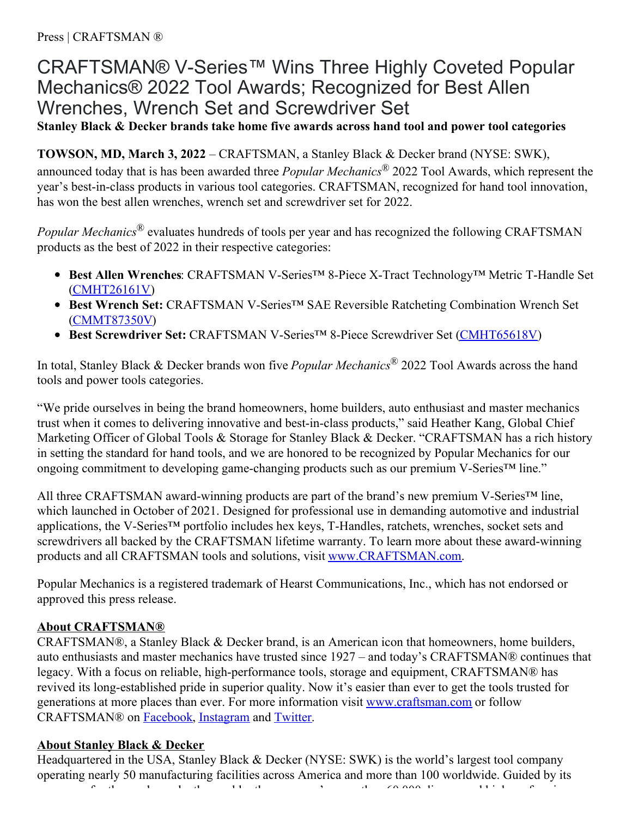## CRAFTSMAN® V-Series™ Wins Three Highly Coveted Popular Mechanics® 2022 Tool Awards; Recognized for Best Allen Wrenches, Wrench Set and Screwdriver Set

**Stanley Black & Decker brands take home five awards across hand tool and power tool categories**

**TOWSON, MD, March 3, 2022** – CRAFTSMAN, a Stanley Black & Decker brand (NYSE: SWK), announced today that is has been awarded three *Popular Mechanics®* 2022 Tool Awards, which represent the year's best-in-class products in various tool categories. CRAFTSMAN, recognized for hand tool innovation, has won the best allen wrenches, wrench set and screwdriver set for 2022.

*Popular Mechanics®* evaluates hundreds of tools per year and has recognized the following CRAFTSMAN products as the best of 2022 in their respective categories:

- **Best Allen Wrenches**: CRAFTSMAN V-Series™ 8-Piece X-Tract Technology™ Metric T-Handle Set ([CMHT26161V](https://www.craftsman.com/products/hand-tools/hex-keys/cmht26161v--v-series-8pc-x-tract-technology-metric-t-handle-set))
- **Best Wrench Set:** CRAFTSMAN V-Series™ SAE Reversible Ratcheting Combination Wrench Set ([CMMT87350V](https://www.craftsman.com/products/automotive-tools/wrenches-wrench-sets/ratcheting-wrenches/cmmt87350v--v-series-sae-reversible-ratcheting-combination-wrench-set-8-pc-))
- **Best Screwdriver Set:** CRAFTSMAN V-Series™ 8-Piece Screwdriver Set [\(CMHT65618V](https://www.craftsman.com/products/hand-tools/screwdrivers/cmht65618v--v-series-8pc-screwdriver-set))

In total, Stanley Black & Decker brands won five *Popular Mechanics®* 2022 Tool Awards across the hand tools and power tools categories.

"We pride ourselves in being the brand homeowners, home builders, auto enthusiast and master mechanics trust when it comes to delivering innovative and best-in-class products," said Heather Kang, Global Chief Marketing Officer of Global Tools & Storage for Stanley Black & Decker. "CRAFTSMAN has a rich history in setting the standard for hand tools, and we are honored to be recognized by Popular Mechanics for our ongoing commitment to developing game-changing products such as our premium V-Series™ line."

All three CRAFTSMAN award-winning products are part of the brand's new premium V-Series<sup>™</sup> line, which launched in October of 2021. Designed for professional use in demanding automotive and industrial applications, the V-Series™ portfolio includes hex keys, T-Handles, ratchets, wrenches, socket sets and screwdrivers all backed by the CRAFTSMAN lifetime warranty. To learn more about these award-winning products and all CRAFTSMAN tools and solutions, visit [www.CRAFTSMAN.com](http://www.craftsman.com/).

Popular Mechanics is a registered trademark of Hearst Communications, Inc., which has not endorsed or approved this press release.

## **About CRAFTSMAN®**

CRAFTSMAN®, a Stanley Black & Decker brand, is an American icon that homeowners, home builders, auto enthusiasts and master mechanics have trusted since 1927 – and today's CRAFTSMAN® continues that legacy. With a focus on reliable, high-performance tools, storage and equipment, CRAFTSMAN® has revived its long-established pride in superior quality. Now it's easier than ever to get the tools trusted for generations at more places than ever. For more information visit [www.craftsman.com](http://www.craftsman.com/) or follow CRAFTSMAN® on [Facebook](https://www.facebook.com/CRAFTSMAN/), [Instagram](https://www.instagram.com/craftsman/) and [Twitter](https://twitter.com/craftsman).

## **About Stanley Black & Decker**

Headquartered in the USA, Stanley Black & Decker (NYSE: SWK) is the world's largest tool company operating nearly 50 manufacturing facilities across America and more than 100 worldwide. Guided by its purpose – for those who make the world – the company's more than 60,000 diverse and high-performing